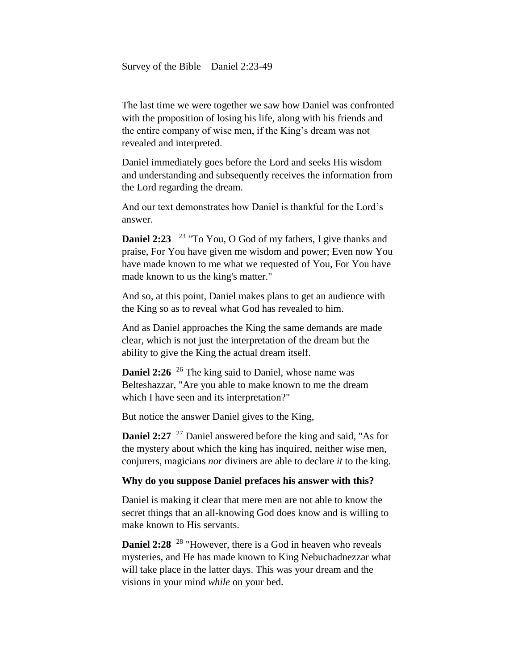Survey of the Bible Daniel 2:23-49

The last time we were together we saw how Daniel was confronted with the proposition of losing his life, along with his friends and the entire company of wise men, if the King's dream was not revealed and interpreted.

Daniel immediately goes before the Lord and seeks His wisdom and understanding and subsequently receives the information from the Lord regarding the dream.

And our text demonstrates how Daniel is thankful for the Lord's answer.

**Daniel 2:23** <sup>23</sup> "To You, O God of my fathers, I give thanks and praise, For You have given me wisdom and power; Even now You have made known to me what we requested of You, For You have made known to us the king's matter."

And so, at this point, Daniel makes plans to get an audience with the King so as to reveal what God has revealed to him.

And as Daniel approaches the King the same demands are made clear, which is not just the interpretation of the dream but the ability to give the King the actual dream itself.

**Daniel 2:26** <sup>26</sup> The king said to Daniel, whose name was Belteshazzar, "Are you able to make known to me the dream which I have seen and its interpretation?"

But notice the answer Daniel gives to the King,

**Daniel 2:27** <sup>27</sup> Daniel answered before the king and said, "As for the mystery about which the king has inquired, neither wise men, conjurers, magicians *nor* diviners are able to declare *it* to the king.

### **Why do you suppose Daniel prefaces his answer with this?**

Daniel is making it clear that mere men are not able to know the secret things that an all-knowing God does know and is willing to make known to His servants.

**Daniel 2:28** <sup>28</sup> "However, there is a God in heaven who reveals mysteries, and He has made known to King Nebuchadnezzar what will take place in the latter days. This was your dream and the visions in your mind *while* on your bed.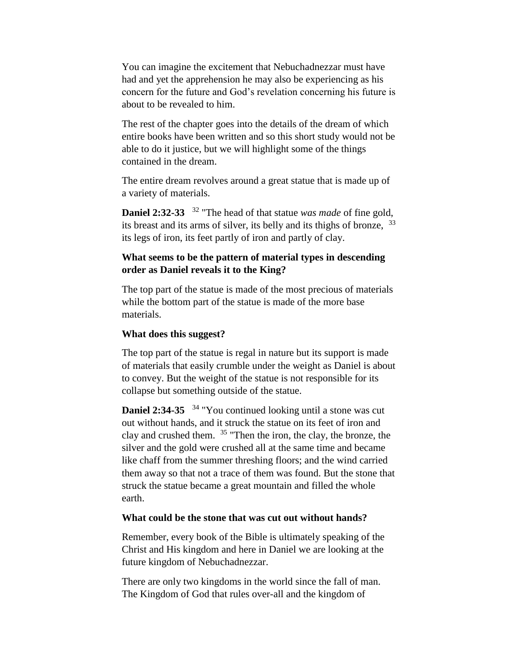You can imagine the excitement that Nebuchadnezzar must have had and yet the apprehension he may also be experiencing as his concern for the future and God's revelation concerning his future is about to be revealed to him.

The rest of the chapter goes into the details of the dream of which entire books have been written and so this short study would not be able to do it justice, but we will highlight some of the things contained in the dream.

The entire dream revolves around a great statue that is made up of a variety of materials.

**Daniel 2:32-33**  <sup>32</sup> "The head of that statue *was made* of fine gold, its breast and its arms of silver, its belly and its thighs of bronze, <sup>33</sup> its legs of iron, its feet partly of iron and partly of clay.

# **What seems to be the pattern of material types in descending order as Daniel reveals it to the King?**

The top part of the statue is made of the most precious of materials while the bottom part of the statue is made of the more base materials.

## **What does this suggest?**

The top part of the statue is regal in nature but its support is made of materials that easily crumble under the weight as Daniel is about to convey. But the weight of the statue is not responsible for its collapse but something outside of the statue.

**Daniel 2:34-35**  <sup>34</sup> "You continued looking until a stone was cut out without hands, and it struck the statue on its feet of iron and clay and crushed them. <sup>35</sup> "Then the iron, the clay, the bronze, the silver and the gold were crushed all at the same time and became like chaff from the summer threshing floors; and the wind carried them away so that not a trace of them was found. But the stone that struck the statue became a great mountain and filled the whole earth.

### **What could be the stone that was cut out without hands?**

Remember, every book of the Bible is ultimately speaking of the Christ and His kingdom and here in Daniel we are looking at the future kingdom of Nebuchadnezzar.

There are only two kingdoms in the world since the fall of man. The Kingdom of God that rules over-all and the kingdom of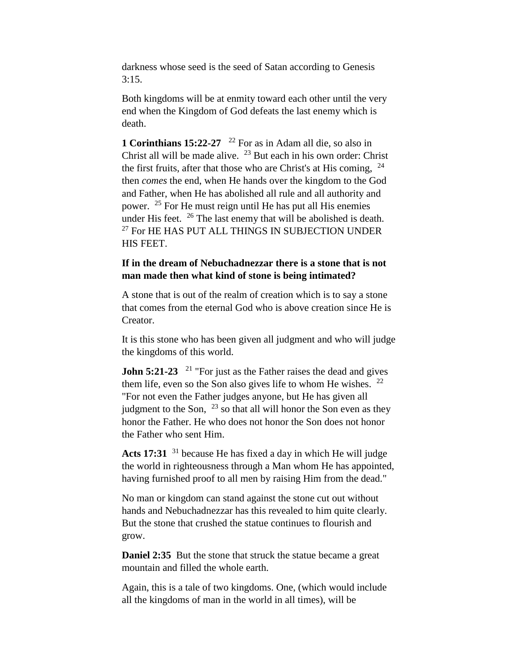darkness whose seed is the seed of Satan according to Genesis  $3:15.$ 

Both kingdoms will be at enmity toward each other until the very end when the Kingdom of God defeats the last enemy which is death.

**1 Corinthians 15:22-27**  <sup>22</sup> For as in Adam all die, so also in Christ all will be made alive.  $23$  But each in his own order: Christ the first fruits, after that those who are Christ's at His coming,  $^{24}$ then *comes* the end, when He hands over the kingdom to the God and Father, when He has abolished all rule and all authority and power. <sup>25</sup> For He must reign until He has put all His enemies under His feet.  $26$  The last enemy that will be abolished is death.  $27$  For HE HAS PUT ALL THINGS IN SUBJECTION UNDER HIS FEET.

# **If in the dream of Nebuchadnezzar there is a stone that is not man made then what kind of stone is being intimated?**

A stone that is out of the realm of creation which is to say a stone that comes from the eternal God who is above creation since He is Creator.

It is this stone who has been given all judgment and who will judge the kingdoms of this world.

**John 5:21-23** <sup>21</sup> "For just as the Father raises the dead and gives them life, even so the Son also gives life to whom He wishes.  $22$ "For not even the Father judges anyone, but He has given all judgment to the Son,  $^{23}$  so that all will honor the Son even as they honor the Father. He who does not honor the Son does not honor the Father who sent Him.

**Acts 17:31** <sup>31</sup> because He has fixed a day in which He will judge the world in righteousness through a Man whom He has appointed, having furnished proof to all men by raising Him from the dead."

No man or kingdom can stand against the stone cut out without hands and Nebuchadnezzar has this revealed to him quite clearly. But the stone that crushed the statue continues to flourish and grow.

**Daniel 2:35** But the stone that struck the statue became a great mountain and filled the whole earth.

Again, this is a tale of two kingdoms. One, (which would include all the kingdoms of man in the world in all times), will be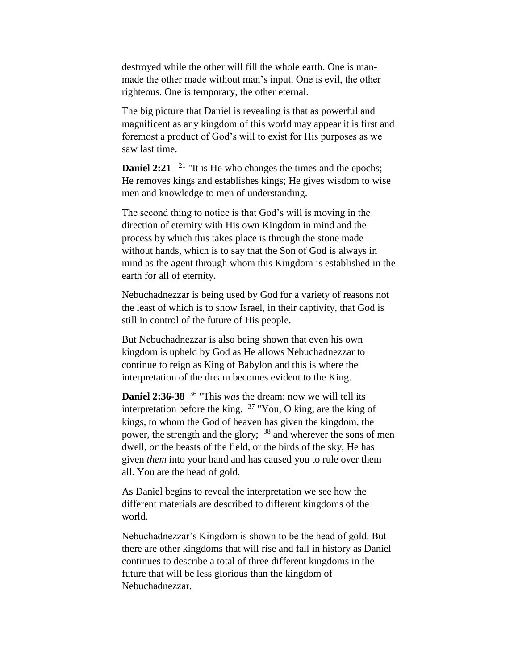destroyed while the other will fill the whole earth. One is manmade the other made without man's input. One is evil, the other righteous. One is temporary, the other eternal.

The big picture that Daniel is revealing is that as powerful and magnificent as any kingdom of this world may appear it is first and foremost a product of God's will to exist for His purposes as we saw last time.

**Daniel 2:21**  $^{21}$  "It is He who changes the times and the epochs; He removes kings and establishes kings; He gives wisdom to wise men and knowledge to men of understanding.

The second thing to notice is that God's will is moving in the direction of eternity with His own Kingdom in mind and the process by which this takes place is through the stone made without hands, which is to say that the Son of God is always in mind as the agent through whom this Kingdom is established in the earth for all of eternity.

Nebuchadnezzar is being used by God for a variety of reasons not the least of which is to show Israel, in their captivity, that God is still in control of the future of His people.

But Nebuchadnezzar is also being shown that even his own kingdom is upheld by God as He allows Nebuchadnezzar to continue to reign as King of Babylon and this is where the interpretation of the dream becomes evident to the King.

**Daniel 2:36-38** <sup>36</sup> "This *was* the dream; now we will tell its interpretation before the king. <sup>37</sup> "You, O king, are the king of kings, to whom the God of heaven has given the kingdom, the power, the strength and the glory; <sup>38</sup> and wherever the sons of men dwell, *or* the beasts of the field, or the birds of the sky, He has given *them* into your hand and has caused you to rule over them all. You are the head of gold.

As Daniel begins to reveal the interpretation we see how the different materials are described to different kingdoms of the world.

Nebuchadnezzar's Kingdom is shown to be the head of gold. But there are other kingdoms that will rise and fall in history as Daniel continues to describe a total of three different kingdoms in the future that will be less glorious than the kingdom of Nebuchadnezzar.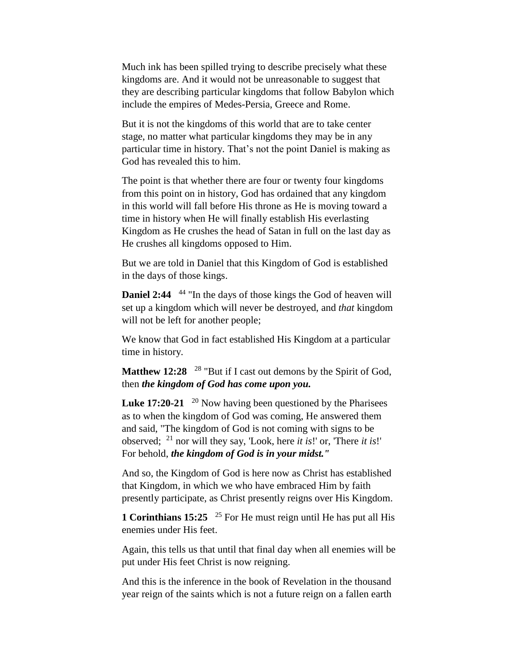Much ink has been spilled trying to describe precisely what these kingdoms are. And it would not be unreasonable to suggest that they are describing particular kingdoms that follow Babylon which include the empires of Medes-Persia, Greece and Rome.

But it is not the kingdoms of this world that are to take center stage, no matter what particular kingdoms they may be in any particular time in history. That's not the point Daniel is making as God has revealed this to him.

The point is that whether there are four or twenty four kingdoms from this point on in history, God has ordained that any kingdom in this world will fall before His throne as He is moving toward a time in history when He will finally establish His everlasting Kingdom as He crushes the head of Satan in full on the last day as He crushes all kingdoms opposed to Him.

But we are told in Daniel that this Kingdom of God is established in the days of those kings.

**Daniel 2:44** <sup>44</sup> "In the days of those kings the God of heaven will set up a kingdom which will never be destroyed, and *that* kingdom will not be left for another people;

We know that God in fact established His Kingdom at a particular time in history.

Matthew 12:28 <sup>28</sup> "But if I cast out demons by the Spirit of God, then *the kingdom of God has come upon you.*

**Luke 17:20-21** <sup>20</sup> Now having been questioned by the Pharisees as to when the kingdom of God was coming, He answered them and said, "The kingdom of God is not coming with signs to be observed; <sup>21</sup> nor will they say, 'Look, here *it is*!' or, 'There *it is*!' For behold, *the kingdom of God is in your midst."*

And so, the Kingdom of God is here now as Christ has established that Kingdom, in which we who have embraced Him by faith presently participate, as Christ presently reigns over His Kingdom.

**1 Corinthians 15:25** <sup>25</sup> For He must reign until He has put all His enemies under His feet.

Again, this tells us that until that final day when all enemies will be put under His feet Christ is now reigning.

And this is the inference in the book of Revelation in the thousand year reign of the saints which is not a future reign on a fallen earth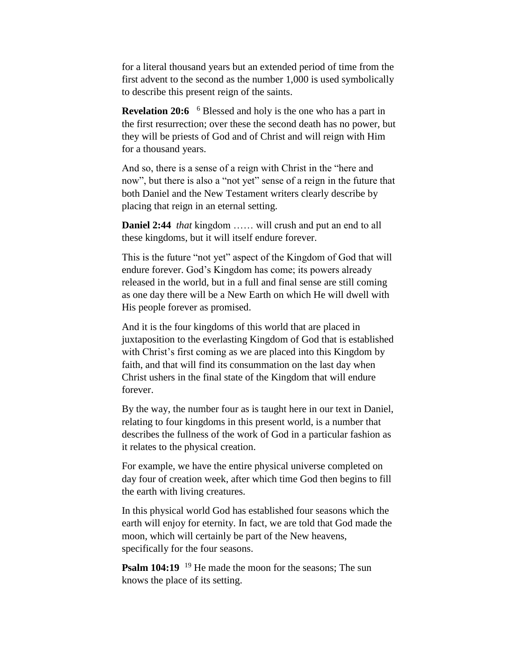for a literal thousand years but an extended period of time from the first advent to the second as the number 1,000 is used symbolically to describe this present reign of the saints.

**Revelation 20:6** <sup>6</sup> Blessed and holy is the one who has a part in the first resurrection; over these the second death has no power, but they will be priests of God and of Christ and will reign with Him for a thousand years.

And so, there is a sense of a reign with Christ in the "here and now", but there is also a "not yet" sense of a reign in the future that both Daniel and the New Testament writers clearly describe by placing that reign in an eternal setting.

**Daniel 2:44** *that* kingdom …… will crush and put an end to all these kingdoms, but it will itself endure forever.

This is the future "not yet" aspect of the Kingdom of God that will endure forever. God's Kingdom has come; its powers already released in the world, but in a full and final sense are still coming as one day there will be a New Earth on which He will dwell with His people forever as promised.

And it is the four kingdoms of this world that are placed in juxtaposition to the everlasting Kingdom of God that is established with Christ's first coming as we are placed into this Kingdom by faith, and that will find its consummation on the last day when Christ ushers in the final state of the Kingdom that will endure forever.

By the way, the number four as is taught here in our text in Daniel, relating to four kingdoms in this present world, is a number that describes the fullness of the work of God in a particular fashion as it relates to the physical creation.

For example, we have the entire physical universe completed on day four of creation week, after which time God then begins to fill the earth with living creatures.

In this physical world God has established four seasons which the earth will enjoy for eternity. In fact, we are told that God made the moon, which will certainly be part of the New heavens, specifically for the four seasons.

**Psalm 104:19** <sup>19</sup> He made the moon for the seasons; The sun knows the place of its setting.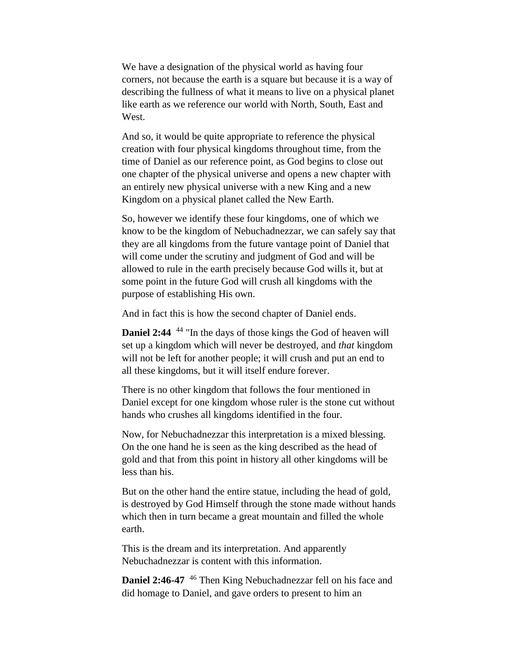We have a designation of the physical world as having four corners, not because the earth is a square but because it is a way of describing the fullness of what it means to live on a physical planet like earth as we reference our world with North, South, East and West.

And so, it would be quite appropriate to reference the physical creation with four physical kingdoms throughout time, from the time of Daniel as our reference point, as God begins to close out one chapter of the physical universe and opens a new chapter with an entirely new physical universe with a new King and a new Kingdom on a physical planet called the New Earth.

So, however we identify these four kingdoms, one of which we know to be the kingdom of Nebuchadnezzar, we can safely say that they are all kingdoms from the future vantage point of Daniel that will come under the scrutiny and judgment of God and will be allowed to rule in the earth precisely because God wills it, but at some point in the future God will crush all kingdoms with the purpose of establishing His own.

And in fact this is how the second chapter of Daniel ends.

**Daniel 2:44** <sup>44</sup> "In the days of those kings the God of heaven will set up a kingdom which will never be destroyed, and *that* kingdom will not be left for another people; it will crush and put an end to all these kingdoms, but it will itself endure forever.

There is no other kingdom that follows the four mentioned in Daniel except for one kingdom whose ruler is the stone cut without hands who crushes all kingdoms identified in the four.

Now, for Nebuchadnezzar this interpretation is a mixed blessing. On the one hand he is seen as the king described as the head of gold and that from this point in history all other kingdoms will be less than his.

But on the other hand the entire statue, including the head of gold, is destroyed by God Himself through the stone made without hands which then in turn became a great mountain and filled the whole earth.

This is the dream and its interpretation. And apparently Nebuchadnezzar is content with this information.

**Daniel 2:46-47** <sup>46</sup> Then King Nebuchadnezzar fell on his face and did homage to Daniel, and gave orders to present to him an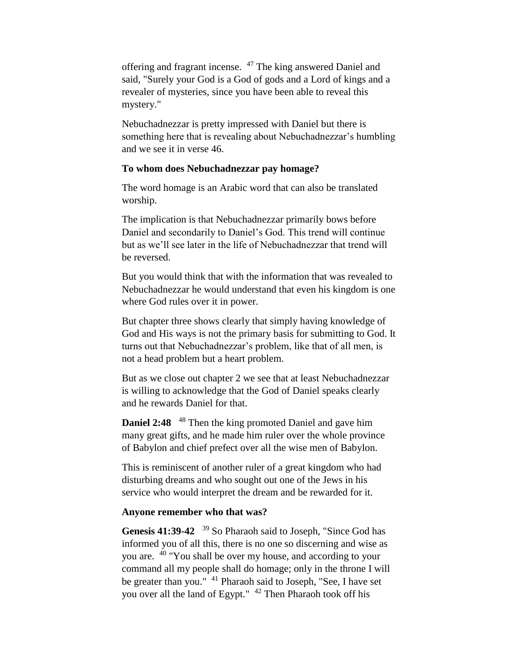offering and fragrant incense. <sup>47</sup> The king answered Daniel and said, "Surely your God is a God of gods and a Lord of kings and a revealer of mysteries, since you have been able to reveal this mystery."

Nebuchadnezzar is pretty impressed with Daniel but there is something here that is revealing about Nebuchadnezzar's humbling and we see it in verse 46.

### **To whom does Nebuchadnezzar pay homage?**

The word homage is an Arabic word that can also be translated worship.

The implication is that Nebuchadnezzar primarily bows before Daniel and secondarily to Daniel's God. This trend will continue but as we'll see later in the life of Nebuchadnezzar that trend will be reversed.

But you would think that with the information that was revealed to Nebuchadnezzar he would understand that even his kingdom is one where God rules over it in power.

But chapter three shows clearly that simply having knowledge of God and His ways is not the primary basis for submitting to God. It turns out that Nebuchadnezzar's problem, like that of all men, is not a head problem but a heart problem.

But as we close out chapter 2 we see that at least Nebuchadnezzar is willing to acknowledge that the God of Daniel speaks clearly and he rewards Daniel for that.

**Daniel 2:48** <sup>48</sup> Then the king promoted Daniel and gave him many great gifts, and he made him ruler over the whole province of Babylon and chief prefect over all the wise men of Babylon.

This is reminiscent of another ruler of a great kingdom who had disturbing dreams and who sought out one of the Jews in his service who would interpret the dream and be rewarded for it.

## **Anyone remember who that was?**

Genesis 41:39-42 <sup>39</sup> So Pharaoh said to Joseph, "Since God has informed you of all this, there is no one so discerning and wise as you are. <sup>40</sup> "You shall be over my house, and according to your command all my people shall do homage; only in the throne I will be greater than you." <sup>41</sup> Pharaoh said to Joseph, "See, I have set you over all the land of Egypt." <sup>42</sup> Then Pharaoh took off his